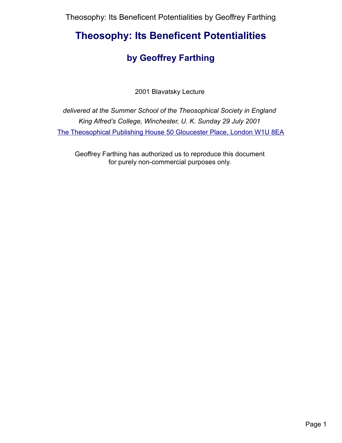# **Theosophy: Its Beneficent Potentialities**

## **by Geoffrey Farthing**

2001 Blavatsky Lecture

*delivered at the Summer School of the Theosophical Society in England King Alfred's College, Winchester, U. K. Sunday 29 July 2001*  [The Theosophical Publishing House 50 Gloucester Place, London W1U 8EA](http://www.theosophical-society.org.uk/)

Geoffrey Farthing has authorized us to reproduce this document for purely non-commercial purposes only.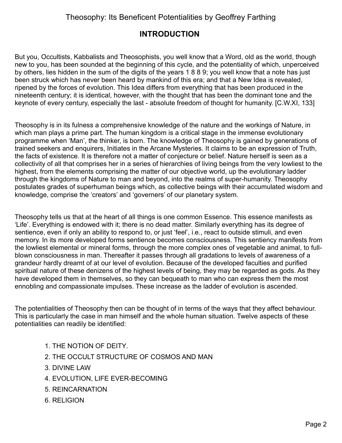### **INTRODUCTION**

But you, Occultists, Kabbalists and Theosophists, you well know that a Word, old as the world, though new to you, has been sounded at the beginning of this cycle, and the potentiality of which, unperceived by others, lies hidden in the sum of the digits of the years 1 8 8 9; you well know that a note has just been struck which has never been heard by mankind of this era; and that a New Idea is revealed, ripened by the forces of evolution. This Idea differs from everything that has been produced in the nineteenth century; it is identical, however, with the thought that has been the dominant tone and the keynote of every century, especially the last - absolute freedom of thought for humanity. [C.W.XI, 133]

Theosophy is in its fulness a comprehensive knowledge of the nature and the workings of Nature, in which man plays a prime part. The human kingdom is a critical stage in the immense evolutionary programme when 'Man', the thinker, is born. The knowledge of Theosophy is gained by generations of trained seekers and enquirers, Initiates in the Arcane Mysteries. It claims to be an expression of Truth, the facts of existence. It is therefore not a matter of conjecture or belief. Nature herself is seen as a collectivity of all that comprises her in a series of hierarchies of living beings from the very lowliest to the highest, from the elements comprising the matter of our objective world, up the evolutionary ladder through the kingdoms of Nature to man and beyond, into the realms of super-humanity. Theosophy postulates grades of superhuman beings which, as collective beings with their accumulated wisdom and knowledge, comprise the 'creators' and 'governers' of our planetary system.

Theosophy tells us that at the heart of all things is one common Essence. This essence manifests as 'Life'. Everything is endowed with it; there is no dead matter. Similarly everything has its degree of sentience, even if only an ability to respond to, or just 'feel', i.e., react to outside stimuli, and even memory. In its more developed forms sentience becomes consciousness. This sentiency manifests from the lowliest elemental or mineral forms, through the more complex ones of vegetable and animal, to fullblown consciousness in man. Thereafter it passes through all gradations to levels of awareness of a grandeur hardly dreamt of at our level of evolution. Because of the developed faculties and purified spiritual nature of these denizens of the highest levels of being, they may be regarded as gods. As they have developed them in themselves, so they can bequeath to man who can express them the most ennobling and compassionate impulses. These increase as the ladder of evolution is ascended.

The potentialities of Theosophy then can be thought of in terms of the ways that they affect behaviour. This is particularly the case in man himself and the whole human situation. Twelve aspects of these potentialities can readily be identified:

- 1. [THE NOTION OF DEITY.](#page-3-0)
- 2. [THE OCCULT STRUCTURE OF COSMOS AND MAN](#page-5-0)
- 3. [DIVINE LAW](#page-8-0)
- 4. [EVOLUTION, LIFE EVER-BECOMING](#page-11-0)
- 5. [REINCARNATION](#page-13-0)
- 6. [RELIGION](#page-15-0)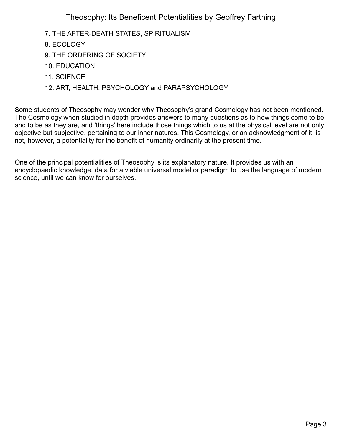- 7. [THE AFTER-DEATH STATES, SPIRITUALISM](#page-17-0)
- 8. [ECOLOGY](#page-19-0)
- 9. [THE ORDERING OF SOCIETY](#page-21-0)
- 10. [EDUCATION](#page-24-0)
- 11. [SCIENCE](#page-26-0)
- 12. [ART, HEALTH, PSYCHOLOGY and PARAPSYCHOLOGY](#page-29-0)

Some students of Theosophy may wonder why Theosophy's grand Cosmology has not been mentioned. The Cosmology when studied in depth provides answers to many questions as to how things come to be and to be as they are, and 'things' here include those things which to us at the physical level are not only objective but subjective, pertaining to our inner natures. This Cosmology, or an acknowledgment of it, is not, however, a potentiality for the benefit of humanity ordinarily at the present time.

One of the principal potentialities of Theosophy is its explanatory nature. It provides us with an encyclopaedic knowledge, data for a viable universal model or paradigm to use the language of modern science, until we can know for ourselves.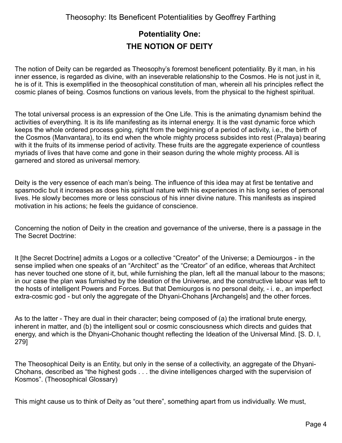## <span id="page-3-0"></span>**Potentiality One: THE NOTION OF DEITY**

The notion of Deity can be regarded as Theosophy's foremost beneficent potentiality. By it man, in his inner essence, is regarded as divine, with an inseverable relationship to the Cosmos. He is not just in it, he is of it. This is exemplified in the theosophical constitution of man, wherein all his principles reflect the cosmic planes of being. Cosmos functions on various levels, from the physical to the highest spiritual.

The total universal process is an expression of the One Life. This is the animating dynamism behind the activities of everything. It is its life manifesting as its internal energy. It is the vast dynamic force which keeps the whole ordered process going, right from the beginning of a period of activity, i.e., the birth of the Cosmos (Manvantara), to its end when the whole mighty process subsides into rest (Pralaya) bearing with it the fruits of its immense period of activity. These fruits are the aggregate experience of countless myriads of lives that have come and gone in their season during the whole mighty process. All is garnered and stored as universal memory.

Deity is the very essence of each man's being. The influence of this idea may at first be tentative and spasmodic but it increases as does his spiritual nature with his experiences in his long series of personal lives. He slowly becomes more or less conscious of his inner divine nature. This manifests as inspired motivation in his actions; he feels the guidance of conscience.

Concerning the notion of Deity in the creation and governance of the universe, there is a passage in the The Secret Doctrine:

It [the Secret Doctrine] admits a Logos or a collective "Creator" of the Universe; a Demiourgos - in the sense implied when one speaks of an "Architect" as the "Creator" of an edifice, whereas that Architect has never touched one stone of it, but, while furnishing the plan, left all the manual labour to the masons; in our case the plan was furnished by the Ideation of the Universe, and the constructive labour was left to the hosts of intelligent Powers and Forces. But that Demiourgos is no personal deity, - i. e., an imperfect extra-cosmic god - but only the aggregate of the Dhyani-Chohans [Archangels] and the other forces.

As to the latter - They are dual in their character; being composed of (a) the irrational brute energy, inherent in matter, and (b) the intelligent soul or cosmic consciousness which directs and guides that energy, and which is the Dhyani-Chohanic thought reflecting the Ideation of the Universal Mind. [S. D. I, 279]

The Theosophical Deity is an Entity, but only in the sense of a collectivity, an aggregate of the Dhyani-Chohans, described as "the highest gods . . . the divine intelligences charged with the supervision of Kosmos". (Theosophical Glossary)

This might cause us to think of Deity as "out there", something apart from us individually. We must,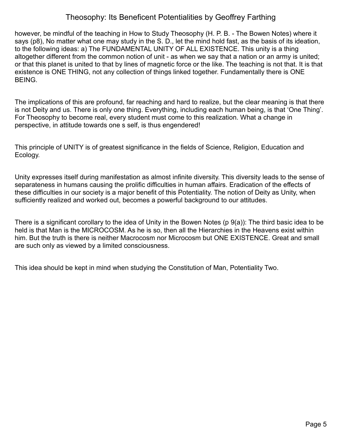however, be mindful of the teaching in How to Study Theosophy (H. P. B. - The Bowen Notes) where it says (p8), No matter what one may study in the S. D., let the mind hold fast, as the basis of its ideation, to the following ideas: a) The FUNDAMENTAL UNITY OF ALL EXISTENCE. This unity is a thing altogether different from the common notion of unit - as when we say that a nation or an army is united; or that this planet is united to that by lines of magnetic force or the like. The teaching is not that. It is that existence is ONE THING, not any collection of things linked together. Fundamentally there is ONE BEING.

The implications of this are profound, far reaching and hard to realize, but the clear meaning is that there is not Deity and us. There is only one thing. Everything, including each human being, is that 'One Thing'. For Theosophy to become real, every student must come to this realization. What a change in perspective, in attitude towards one s self, is thus engendered!

This principle of UNITY is of greatest significance in the fields of Science, Religion, Education and Ecology.

Unity expresses itself during manifestation as almost infinite diversity. This diversity leads to the sense of separateness in humans causing the prolific difficulties in human affairs. Eradication of the effects of these difficulties in our society is a major benefit of this Potentiality. The notion of Deity as Unity, when sufficiently realized and worked out, becomes a powerful background to our attitudes.

There is a significant corollary to the idea of Unity in the Bowen Notes (p 9(a)): The third basic idea to be held is that Man is the MICROCOSM. As he is so, then all the Hierarchies in the Heavens exist within him. But the truth is there is neither Macrocosm nor Microcosm but ONE EXISTENCE. Great and small are such only as viewed by a limited consciousness.

This idea should be kept in mind when studying the Constitution of Man, Potentiality Two.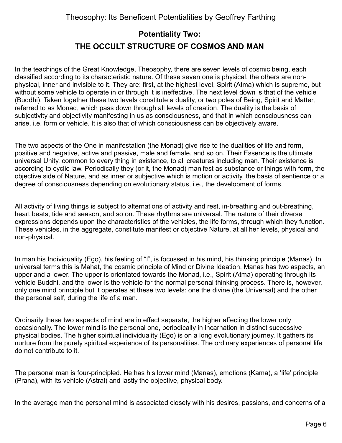## <span id="page-5-0"></span>**Potentiality Two: THE OCCULT STRUCTURE OF COSMOS AND MAN**

In the teachings of the Great Knowledge, Theosophy, there are seven levels of cosmic being, each classified according to its characteristic nature. Of these seven one is physical, the others are nonphysical, inner and invisible to it. They are: first, at the highest level, Spirit (Atma) which is supreme, but without some vehicle to operate in or through it is ineffective. The next level down is that of the vehicle (Buddhi). Taken together these two levels constitute a duality, or two poles of Being, Spirit and Matter, referred to as Monad, which pass down through all levels of creation. The duality is the basis of subjectivity and objectivity manifesting in us as consciousness, and that in which consciousness can arise, i.e. form or vehicle. It is also that of which consciousness can be objectively aware.

The two aspects of the One in manifestation (the Monad) give rise to the dualities of life and form, positive and negative, active and passive, male and female, and so on. Their Essence is the ultimate universal Unity, common to every thing in existence, to all creatures including man. Their existence is according to cyclic law. Periodically they (or it, the Monad) manifest as substance or things with form, the objective side of Nature, and as inner or subjective which is motion or activity, the basis of sentience or a degree of consciousness depending on evolutionary status, i.e., the development of forms.

All activity of living things is subject to alternations of activity and rest, in-breathing and out-breathing, heart beats, tide and season, and so on. These rhythms are universal. The nature of their diverse expressions depends upon the characteristics of the vehicles, the life forms, through which they function. These vehicles, in the aggregate, constitute manifest or objective Nature, at all her levels, physical and non-physical.

In man his Individuality (Ego), his feeling of "I", is focussed in his mind, his thinking principle (Manas). In universal terms this is Mahat, the cosmic principle of Mind or Divine Ideation. Manas has two aspects, an upper and a lower. The upper is orientated towards the Monad, i.e., Spirit (Atma) operating through its vehicle Buddhi, and the lower is the vehicle for the normal personal thinking process. There is, however, only one mind principle but it operates at these two levels: one the divine (the Universal) and the other the personal self, during the life of a man.

Ordinarily these two aspects of mind are in effect separate, the higher affecting the lower only occasionally. The lower mind is the personal one, periodically in incarnation in distinct successive physical bodies. The higher spiritual individuality (Ego) is on a long evolutionary journey. It gathers its nurture from the purely spiritual experience of its personalities. The ordinary experiences of personal life do not contribute to it.

The personal man is four-principled. He has his lower mind (Manas), emotions (Kama), a 'life' principle (Prana), with its vehicle (Astral) and lastly the objective, physical body.

In the average man the personal mind is associated closely with his desires, passions, and concerns of a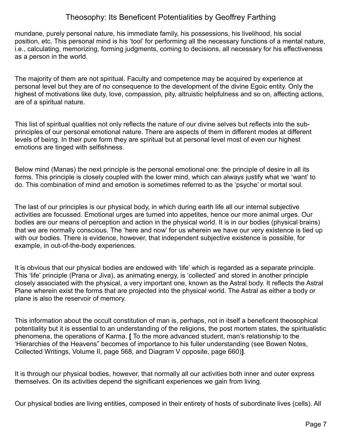mundane, purely personal nature, his immediate family, his possessions, his livelihood, his social position, etc. This personal mind is his 'tool' for performing all the necessary functions of a mental nature, i.e., calculating, memorizing, forming judgments, coming to decisions, all necessary for his effectiveness as a person in the world.

The majority of them are not spiritual. Faculty and competence may be acquired by experience at personal level but they are of no consequence to the development of the divine Egoic entity. Only the highest of motivations like duty, love, compassion, pity, altruistic helpfulness and so on, affecting actions, are of a spiritual nature.

This list of spiritual qualities not only reflects the nature of our divine selves but reflects into the subprinciples of our personal emotional nature. There are aspects of them in different modes at different levels of being. In their pure form they are spiritual but at personal level most of even our highest emotions are tinged with selfishness.

Below mind (Manas) the next principle is the personal emotional one: the principle of desire in all its forms. This principle is closely coupled with the lower mind, which can always justify what we 'want' to do. This combination of mind and emotion is sometimes referred to as the 'psyche' or mortal soul.

The last of our principles is our physical body, in which during earth life all our internal subjective activities are focussed. Emotional urges are turned into appetites, hence our more animal urges. Our bodies are our means of perception and action in the physical world. It is in our bodies (physical brains) that we are normally conscious. The 'here and now' for us wherein we have our very existence is tied up with our bodies. There is evidence, however, that independent subjective existence is possible, for example, in out-of-the-body experiences.

It is obvious that our physical bodies are endowed with 'life' which is regarded as a separate principle. This 'life' principle (Prana or Jiva), as animating energy, is 'collected' and stored in another principle closely associated with the physical, a very important one, known as the Astral body. It reflects the Astral Plane wherein exist the forms that are projected into the physical world. The Astral as either a body or plane is also the reservoir of memory.

This information about the occult constitution of man is, perhaps, not in itself a beneficent theosophical potentiality but it is essential to an understanding of the religions, the post mortem states, the spiritualistic phenomena, the operations of Karma. **[** To the more advanced student, man's relationship to the 'Hierarchies of the Heavens" becomes of importance to his fuller understanding (see Bowen Notes, Collected Writings, Volume II, page 568, and Diagram V opposite, page 660)**]**.

It is through our physical bodies, however, that normally all our activities both inner and outer express themselves. On its activities depend the significant experiences we gain from living.

Our physical bodies are living entities, composed in their entirety of hosts of subordinate lives (cells). All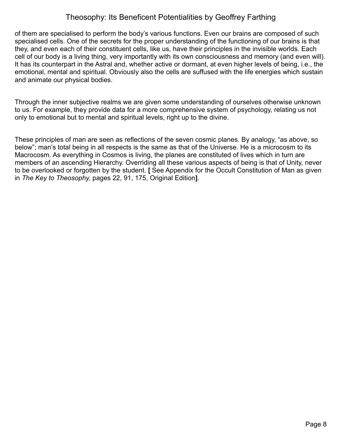of them are specialised to perform the body's various functions. Even our brains are composed of such specialised cells. One of the secrets for the proper understanding of the functioning of our brains is that they, and even each of their constituent cells, like us, have their principles in the invisible worlds. Each cell of our body is a living thing, very importantly with its own consciousness and memory (and even will). It has its counterpart in the Astral and, whether active or dormant, at even higher levels of being, i.e., the emotional, mental and spiritual. Obviously also the cells are suffused with the life energies which sustain and animate our physical bodies.

Through the inner subjective realms we are given some understanding of ourselves otherwise unknown to us. For example, they provide data for a more comprehensive system of psychology, relating us not only to emotional but to mental and spiritual levels, right up to the divine.

These principles of man are seen as reflections of the seven cosmic planes. By analogy, "as above, so below"; man's total being in all respects is the same as that of the Universe. He is a microcosm to its Macrocosm. As everything in Cosmos is living, the planes are constituted of lives which in turn are members of an ascending Hierarchy. Overriding all these various aspects of being is that of Unity, never to be overlooked or forgotten by the student. **[** See Appendix for the Occult Constitution of Man as given in *The Key to Theosophy,* pages 22, 91, 175, Original Edition**]**.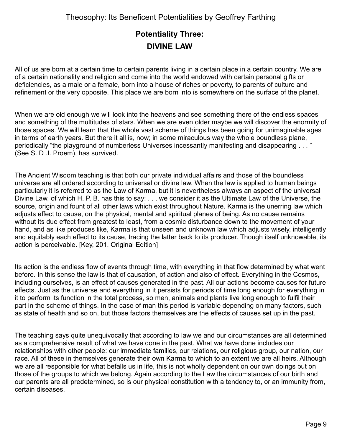## <span id="page-8-0"></span>**Potentiality Three: DIVINE LAW**

All of us are born at a certain time to certain parents living in a certain place in a certain country. We are of a certain nationality and religion and come into the world endowed with certain personal gifts or deficiencies, as a male or a female, born into a house of riches or poverty, to parents of culture and refinement or the very opposite. This place we are born into is somewhere on the surface of the planet.

When we are old enough we will look into the heavens and see something there of the endless spaces and something of the multitudes of stars. When we are even older maybe we will discover the enormity of those spaces. We will learn that the whole vast scheme of things has been going for unimaginable ages in terms of earth years. But there it all is, now; in some miraculous way the whole boundless plane, periodically "the playground of numberless Universes incessantly manifesting and disappearing . . . " (See S. D .I. Proem), has survived.

The Ancient Wisdom teaching is that both our private individual affairs and those of the boundless universe are all ordered according to universal or divine law. When the law is applied to human beings particularly it is referred to as the Law of Karma, but it is nevertheless always an aspect of the universal Divine Law, of which H. P. B. has this to say: . . . we consider it as the Ultimate Law of the Universe, the source, origin and fount of all other laws which exist throughout Nature. Karma is the unerring law which adjusts effect to cause, on the physical, mental and spiritual planes of being. As no cause remains without its due effect from greatest to least, from a cosmic disturbance down to the movement of your hand, and as like produces like, Karma is that unseen and unknown law which adjusts wisely, intelligently and equitably each effect to its cause, tracing the latter back to its producer. Though itself unknowable, its action is perceivable. [Key, 201. Original Edition]

Its action is the endless flow of events through time, with everything in that flow determined by what went before. In this sense the law is that of causation, of action and also of effect. Everything in the Cosmos, including ourselves, is an effect of causes generated in the past. All our actions become causes for future effects. Just as the universe and everything in it persists for periods of time long enough for everything in it to perform its function in the total process, so men, animals and plants live long enough to fulfil their part in the scheme of things. In the case of man this period is variable depending on many factors, such as state of health and so on, but those factors themselves are the effects of causes set up in the past.

The teaching says quite unequivocally that according to law we and our circumstances are all determined as a comprehensive result of what we have done in the past. What we have done includes our relationships with other people: our immediate families, our relations, our religious group, our nation, our race. All of these in themselves generate their own Karma to which to an extent we are all heirs. Although we are all responsible for what befalls us in life, this is not wholly dependent on our own doings but on those of the groups to which we belong. Again according to the Law the circumstances of our birth and our parents are all predetermined, so is our physical constitution with a tendency to, or an immunity from, certain diseases.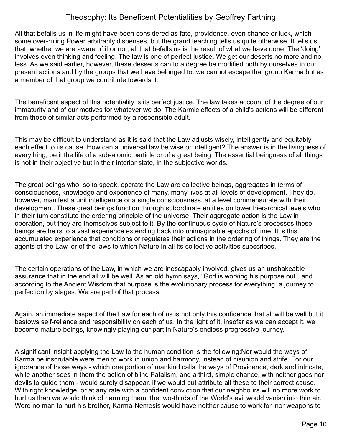All that befalls us in life might have been considered as fate, providence, even chance or luck, which some over-ruling Power arbitrarily dispenses, but the grand teaching tells us quite otherwise. It tells us that, whether we are aware of it or not, all that befalls us is the result of what we have done. The 'doing' involves even thinking and feeling. The law is one of perfect justice. We get our deserts no more and no less. As we said earlier, however, these desserts can to a degree be modified both by ourselves in our present actions and by the groups that we have belonged to: we cannot escape that group Karma but as a member of that group we contribute towards it.

The beneficent aspect of this potentiality is its perfect justice. The law takes account of the degree of our immaturity and of our motives for whatever we do. The Karmic effects of a child's actions will be different from those of similar acts performed by a responsible adult.

This may be difficult to understand as it is said that the Law adjusts wisely, intelligently and equitably each effect to its cause. How can a universal law be wise or intelligent? The answer is in the livingness of everything, be it the life of a sub-atomic particle or of a great being. The essential beingness of all things is not in their objective but in their interior state, in the subjective worlds.

The great beings who, so to speak, operate the Law are collective beings, aggregates in terms of consciousness, knowledge and experience of many, many lives at all levels of development. They do, however, manifest a unit intelligence or a single consciousness, at a level commensurate with their development. These great beings function through subordinate entities on lower hierarchical levels who in their turn constitute the ordering principle of the universe. Their aggregate action is the Law in operation, but they are themselves subject to it. By the continuous cycle of Nature's processes these beings are heirs to a vast experience extending back into unimaginable epochs of time. It is this accumulated experience that conditions or regulates their actions in the ordering of things. They are the agents of the Law, or of the laws to which Nature in all its collective activities subscribes.

The certain operations of the Law, in which we are inescapably involved, gives us an unshakeable assurance that in the end all will be well. As an old hymn says, "God is working his purpose out", and according to the Ancient Wisdom that purpose is the evolutionary process for everything, a journey to perfection by stages. We are part of that process.

Again, an immediate aspect of the Law for each of us is not only this confidence that all will be well but it bestows self-reliance and responsibility on each of us. In the light of it, insofar as we can accept it, we become mature beings, knowingly playing our part in Nature's endless progressive journey.

A significant insight applying the Law to the human condition is the following:Nor would the ways of Karma be inscrutable were men to work in union and harmony, instead of disunion and strife. For our ignorance of those ways - which one portion of mankind calls the ways of Providence, dark and intricate, while another sees in them the action of blind Fatalism, and a third, simple chance, with neither gods nor devils to guide them - would surely disappear, if we would but attribute all these to their correct cause. With right knowledge, or at any rate with a confident conviction that our neighbours will no more work to hurt us than we would think of harming them, the two-thirds of the World's evil would vanish into thin air. Were no man to hurt his brother, Karma-Nemesis would have neither cause to work for, nor weapons to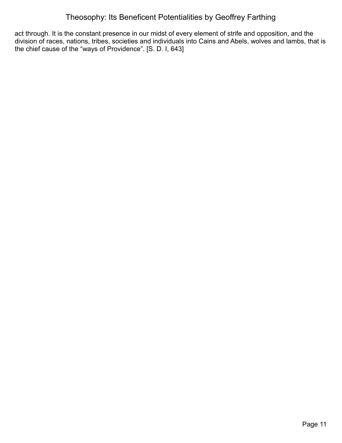act through. It is the constant presence in our midst of every element of strife and opposition, and the division of races, nations, tribes, societies and individuals into Cains and Abels, wolves and lambs, that is the chief cause of the "ways of Providence". [S. D. I, 643]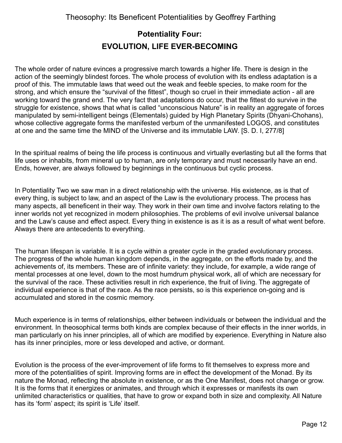## <span id="page-11-0"></span>**Potentiality Four: EVOLUTION, LIFE EVER-BECOMING**

The whole order of nature evinces a progressive march towards a higher life. There is design in the action of the seemingly blindest forces. The whole process of evolution with its endless adaptation is a proof of this. The immutable laws that weed out the weak and feeble species, to make room for the strong, and which ensure the "survival of the fittest", though so cruel in their immediate action - all are working toward the grand end. The very fact that adaptations do occur, that the fittest do survive in the struggle for existence, shows that what is called "unconscious Nature" is in reality an aggregate of forces manipulated by semi-intelligent beings (Elementals) guided by High Planetary Spirits (Dhyani-Chohans), whose collective aggregate forms the manifested verbum of the unmanifested LOGOS, and constitutes at one and the same time the MIND of the Universe and its immutable LAW. [S. D. I, 277/8]

In the spiritual realms of being the life process is continuous and virtually everlasting but all the forms that life uses or inhabits, from mineral up to human, are only temporary and must necessarily have an end. Ends, however, are always followed by beginnings in the continuous but cyclic process.

In Potentiality Two we saw man in a direct relationship with the universe. His existence, as is that of every thing, is subject to law, and an aspect of the Law is the evolutionary process. The process has many aspects, all beneficent in their way. They work in their own time and involve factors relating to the inner worlds not yet recognized in modern philosophies. The problems of evil involve universal balance and the Law's cause and effect aspect. Every thing in existence is as it is as a result of what went before. Always there are antecedents to everything.

The human lifespan is variable. It is a cycle within a greater cycle in the graded evolutionary process. The progress of the whole human kingdom depends, in the aggregate, on the efforts made by, and the achievements of, its members. These are of infinite variety: they include, for example, a wide range of mental processes at one level, down to the most humdrum physical work, all of which are necessary for the survival of the race. These activities result in rich experience, the fruit of living. The aggregate of individual experience is that of the race. As the race persists, so is this experience on-going and is accumulated and stored in the cosmic memory.

Much experience is in terms of relationships, either between individuals or between the individual and the environment. In theosophical terms both kinds are complex because of their effects in the inner worlds, in man particularly on his inner principles, all of which are modified by experience. Everything in Nature also has its inner principles, more or less developed and active, or dormant.

Evolution is the process of the ever-improvement of life forms to fit themselves to express more and more of the potentialities of spirit. Improving forms are in effect the development of the Monad. By its nature the Monad, reflecting the absolute in existence, or as the One Manifest, does not change or grow. It is the forms that it energizes or animates, and through which it expresses or manifests its own unlimited characteristics or qualities, that have to grow or expand both in size and complexity. All Nature has its 'form' aspect; its spirit is 'Life' itself.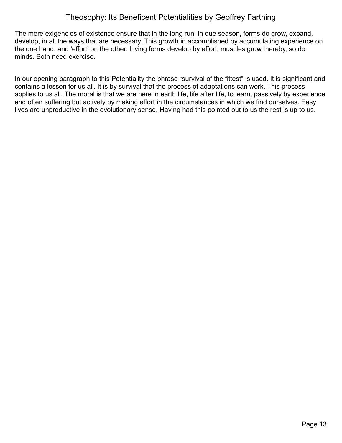The mere exigencies of existence ensure that in the long run, in due season, forms do grow, expand, develop, in all the ways that are necessary. This growth in accomplished by accumulating experience on the one hand, and 'effort' on the other. Living forms develop by effort; muscles grow thereby, so do minds. Both need exercise.

In our opening paragraph to this Potentiality the phrase "survival of the fittest" is used. It is significant and contains a lesson for us all. It is by survival that the process of adaptations can work. This process applies to us all. The moral is that we are here in earth life, life after life, to learn, passively by experience and often suffering but actively by making effort in the circumstances in which we find ourselves. Easy lives are unproductive in the evolutionary sense. Having had this pointed out to us the rest is up to us.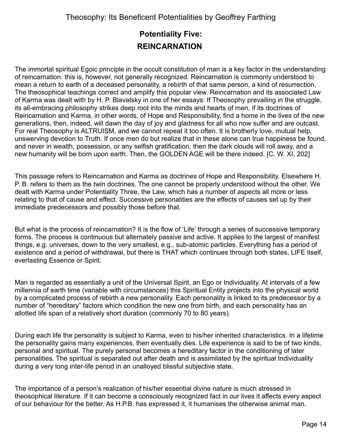## <span id="page-13-0"></span>**Potentiality Five: REINCARNATION**

The immortal spiritual Egoic principle in the occult constitution of man is a key factor in the understanding of reincarnation: this is, however, not generally recognized. Reincarnation is commonly understood to mean a return to earth of a deceased personality, a rebirth of that same person, a kind of resurrection. The theosophical teachings correct and amplify this popular view. Reincarnation and its associated Law of Karma was dealt with by H. P. Blavatsky in one of her essays: If Theosophy prevailing in the struggle, its all-embracing philosophy strikes deep root into the minds and hearts of men, if its doctrines of Reincarnation and Karma, in other words, of Hope and Responsibility, find a home in the lives of the new generations, then, indeed, will dawn the day of joy and gladness for all who now suffer and are outcast. For real Theosophy is ALTRUISM, and we cannot repeat it too often. It is brotherly love, mutual help, unswerving devotion to Truth. If once men do but realize that in these alone can true happiness be found, and never in wealth, possession, or any selfish gratification, then the dark clouds will roll away, and a new humanity will be born upon earth. Then, the GOLDEN AGE will be there indeed. [C. W. XI, 202]

This passage refers to Reincarnation and Karma as doctrines of Hope and Responsibility. Elsewhere H. P. B. refers to them as the twin doctrines. The one cannot be properly understood without the other. We dealt with Karma under Potentiality Three, the Law, which has a number of aspects all more or less relating to that of cause and effect. Successive personalities are the effects of causes set up by their immediate predecessors and possibly those before that.

But what is the process of reincarnation? It is the flow of 'Life' through a series of successive temporary forms. The process is continuous but alternately passive and active. It applies to the largest of manifest things, e.g. universes, down to the very smallest, e.g., sub-atomic particles. Everything has a period of existence and a period of withdrawal, but there is THAT which continues through both states, LIFE itself, everlasting Essence or Spirit.

Man is regarded as essentially a unit of the Universal Spirit, an Ego or Individuality. At intervals of a few millennia of earth time (variable with circumstances) this Spiritual Entity projects into the physical world by a complicated process of rebirth a new personality. Each personality is linked to its predecessor by a number of "hereditary" factors which condition the new one from birth, and each personality has an allotted life span of a relatively short duration (commonly 70 to 80 years).

During each life the personality is subject to Karma, even to his/her inherited characteristics. In a lifetime the personality gains many experiences, then eventually dies. Life experience is said to be of two kinds, personal and spiritual. The purely personal becomes a hereditary factor in the conditioning of later personalities. The spiritual is separated out after death and is assimilated by the spiritual Individuality during a very long inter-life period in an unalloyed blissful subjective state.

The importance of a person's realization of his/her essential divine nature is much stressed in theosophical literature. If it can become a consciously recognized fact in our lives it affects every aspect of our behaviour for the better. As H.P.B. has expressed it, it humanises the otherwise animal man.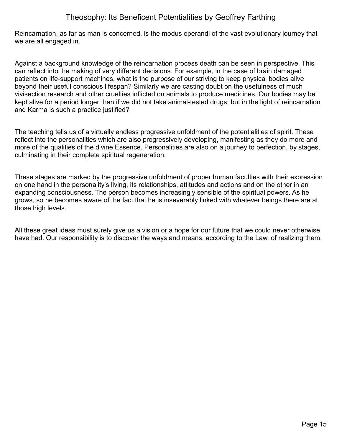Reincarnation, as far as man is concerned, is the modus operandi of the vast evolutionary journey that we are all engaged in.

Against a background knowledge of the reincarnation process death can be seen in perspective. This can reflect into the making of very different decisions. For example, in the case of brain damaged patients on life-support machines, what is the purpose of our striving to keep physical bodies alive beyond their useful conscious lifespan? Similarly we are casting doubt on the usefulness of much vivisection research and other cruelties inflicted on animals to produce medicines. Our bodies may be kept alive for a period longer than if we did not take animal-tested drugs, but in the light of reincarnation and Karma is such a practice justified?

The teaching tells us of a virtually endless progressive unfoldment of the potentialities of spirit. These reflect into the personalities which are also progressively developing, manifesting as they do more and more of the qualities of the divine Essence. Personalities are also on a journey to perfection, by stages, culminating in their complete spiritual regeneration.

These stages are marked by the progressive unfoldment of proper human faculties with their expression on one hand in the personality's living, its relationships, attitudes and actions and on the other in an expanding consciousness. The person becomes increasingly sensible of the spiritual powers. As he grows, so he becomes aware of the fact that he is inseverably linked with whatever beings there are at those high levels.

All these great ideas must surely give us a vision or a hope for our future that we could never otherwise have had. Our responsibility is to discover the ways and means, according to the Law, of realizing them.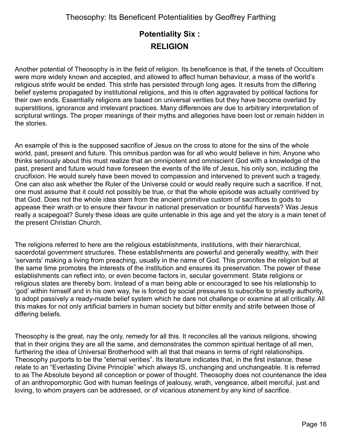## <span id="page-15-0"></span>**Potentiality Six : RELIGION**

Another potential of Theosophy is in the field of religion. Its beneficence is that, if the tenets of Occultism were more widely known and accepted, and allowed to affect human behaviour, a mass of the world's religious strife would be ended. This strife has persisted through long ages. It results from the differing belief systems propagated by institutional religions, and this is often aggravated by political factions for their own ends. Essentially religions are based on universal verities but they have become overlaid by superstitions, ignorance and irrelevant practices. Many differences are due to arbitrary interpretation of scriptural writings. The proper meanings of their myths and allegories have been lost or remain hidden in the stories.

An example of this is the supposed sacrifice of Jesus on the cross to atone for the sins of the whole world, past, present and future. This omnibus pardon was for all who would believe in him. Anyone who thinks seriously about this must realize that an omnipotent and omniscient God with a knowledge of the past, present and future would have foreseen the events of the life of Jesus, his only son, including the crucifixion. He would surely have been moved to compassion and intervened to prevent such a tragedy. One can also ask whether the Ruler of the Universe could or would really require such a sacrifice. If not, one must assume that it could not possibly be true, or that the whole episode was actually contrived by that God. Does not the whole idea stem from the ancient primitive custom of sacrifices to gods to appease their wrath or to ensure their favour in national preservation or bountiful harvests? Was Jesus really a scapegoat? Surely these ideas are quite untenable in this age and yet the story is a main tenet of the present Christian Church.

The religions referred to here are the religious establishments, institutions, with their hierarchical, sacerdotal government structures. These establishments are powerful and generally wealthy, with their 'servants' making a living from preaching, usually in the name of God. This promotes the religion but at the same time promotes the interests of the institution and ensures its preservation. The power of these establishments can reflect into, or even become factors in, secular government. State religions or religious states are thereby born. Instead of a man being able or encouraged to see his relationship to 'god' within himself and in his own way, he is forced by social pressures to subscribe to priestly authority, to adopt passively a ready-made belief system which he dare not challenge or examine at all critically. All this makes for not only artificial barriers in human society but bitter enmity and strife between those of differing beliefs.

Theosophy is the great, nay the only, remedy for all this. It reconciles all the various religions, showing that in their origins they are all the same, and demonstrates the common spiritual heritage of all men, furthering the idea of Universal Brotherhood with all that that means in terms of right relationships. Theosophy purports to be the "eternal verities". Its literature indicates that, in the first instance, these relate to an "Everlasting Divine Principle" which always IS, unchanging and unchangeable. It is referred to as The Absolute beyond all conception or power of thought. Theosophy does not countenance the idea of an anthropomorphic God with human feelings of jealousy, wrath, vengeance, albeit merciful, just and loving, to whom prayers can be addressed, or of vicarious atonement by any kind of sacrifice.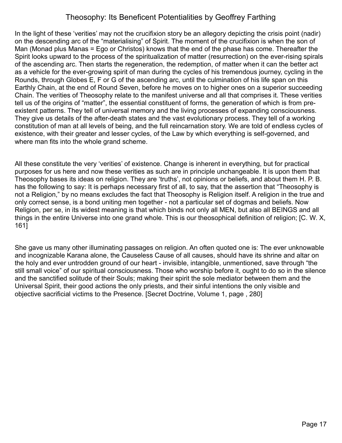In the light of these 'verities' may not the crucifixion story be an allegory depicting the crisis point (nadir) on the descending arc of the "materialising" of Spirit. The moment of the crucifixion is when the son of Man (Monad plus Manas = Ego or Christos) knows that the end of the phase has come. Thereafter the Spirit looks upward to the process of the spiritualization of matter (resurrection) on the ever-rising spirals of the ascending arc. Then starts the regeneration, the redemption, of matter when it can the better act as a vehicle for the ever-growing spirit of man during the cycles of his tremendous journey, cycling in the Rounds, through Globes E, F or G of the ascending arc, until the culmination of his life span on this Earthly Chain, at the end of Round Seven, before he moves on to higher ones on a superior succeeding Chain. The verities of Theosophy relate to the manifest universe and all that comprises it. These verities tell us of the origins of "matter", the essential constituent of forms, the generation of which is from preexistent patterns. They tell of universal memory and the living processes of expanding consciousness. They give us details of the after-death states and the vast evolutionary process. They tell of a working constitution of man at all levels of being, and the full reincarnation story. We are told of endless cycles of existence, with their greater and lesser cycles, of the Law by which everything is self-governed, and where man fits into the whole grand scheme.

All these constitute the very 'verities' of existence. Change is inherent in everything, but for practical purposes for us here and now these verities as such are in principle unchangeable. It is upon them that Theosophy bases its ideas on religion. They are 'truths', not opinions or beliefs, and about them H. P. B. has the following to say: It is perhaps necessary first of all, to say, that the assertion that "Theosophy is not a Religion," by no means excludes the fact that Theosophy is Religion itself. A religion in the true and only correct sense, is a bond uniting men together - not a particular set of dogmas and beliefs. Now Religion, per se, in its widest meaning is that which binds not only all MEN, but also all BEINGS and all things in the entire Universe into one grand whole. This is our theosophical definition of religion; [C. W. X, 161]

She gave us many other illuminating passages on religion. An often quoted one is: The ever unknowable and incognizable Karana alone, the Causeless Cause of all causes, should have its shrine and altar on the holy and ever untrodden ground of our heart - invisible, intangible, unmentioned, save through "the still small voice" of our spiritual consciousness. Those who worship before it, ought to do so in the silence and the sanctified solitude of their Souls; making their spirit the sole mediator between them and the Universal Spirit, their good actions the only priests, and their sinful intentions the only visible and objective sacrificial victims to the Presence. [Secret Doctrine, Volume 1, page , 280]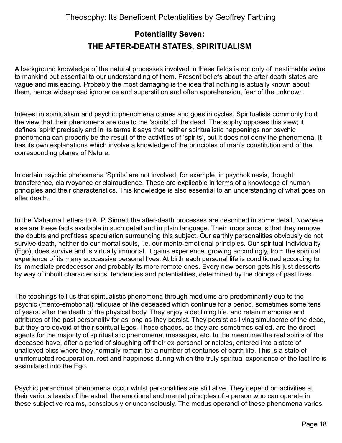## <span id="page-17-0"></span>**Potentiality Seven: THE AFTER-DEATH STATES, SPIRITUALISM**

A background knowledge of the natural processes involved in these fields is not only of inestimable value to mankind but essential to our understanding of them. Present beliefs about the after-death states are vague and misleading. Probably the most damaging is the idea that nothing is actually known about them, hence widespread ignorance and superstition and often apprehension, fear of the unknown.

Interest in spiritualism and psychic phenomena comes and goes in cycles. Spiritualists commonly hold the view that their phenomena are due to the 'spirits' of the dead. Theosophy opposes this view; it defines 'spirit' precisely and in its terms it says that neither spiritualistic happenings nor psychic phenomena can properly be the result of the activities of 'spirits', but it does not deny the phenomena. It has its own explanations which involve a knowledge of the principles of man's constitution and of the corresponding planes of Nature.

In certain psychic phenomena 'Spirits' are not involved, for example, in psychokinesis, thought transference, clairvoyance or clairaudience. These are explicable in terms of a knowledge of human principles and their characteristics. This knowledge is also essential to an understanding of what goes on after death.

In the Mahatma Letters to A. P. Sinnett the after-death processes are described in some detail. Nowhere else are these facts available in such detail and in plain language. Their importance is that they remove the doubts and profitless speculation surrounding this subject. Our earthly personalities obviously do not survive death, neither do our mortal souls, i.e. our mento-emotional principles. Our spiritual Individuality (Ego), does survive and is virtually immortal. It gains experience, growing accordingly, from the spiritual experience of its many successive personal lives. At birth each personal life is conditioned according to its immediate predecessor and probably its more remote ones. Every new person gets his just desserts by way of inbuilt characteristics, tendencies and potentialities, determined by the doings of past lives.

The teachings tell us that spiritualistic phenomena through mediums are predominantly due to the psychic (mento-emotional) reliquiae of the deceased which continue for a period, sometimes some tens of years, after the death of the physical body. They enjoy a declining life, and retain memories and attributes of the past personality for as long as they persist. They persist as living simulacrae of the dead, but they are devoid of their spiritual Egos. These shades, as they are sometimes called, are the direct agents for the majority of spiritualistic phenomena, messages, etc. In the meantime the real spirits of the deceased have, after a period of sloughing off their ex-personal principles, entered into a state of unalloyed bliss where they normally remain for a number of centuries of earth life. This is a state of uninterrupted recuperation, rest and happiness during which the truly spiritual experience of the last life is assimilated into the Ego.

Psychic paranormal phenomena occur whilst personalities are still alive. They depend on activities at their various levels of the astral, the emotional and mental principles of a person who can operate in these subjective realms, consciously or unconsciously. The modus operandi of these phenomena varies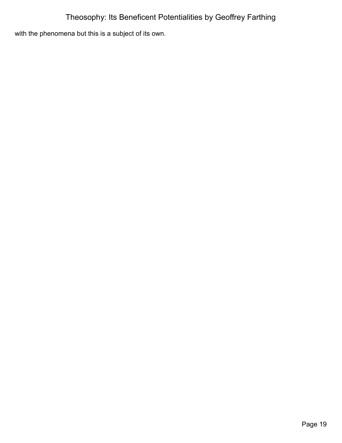with the phenomena but this is a subject of its own.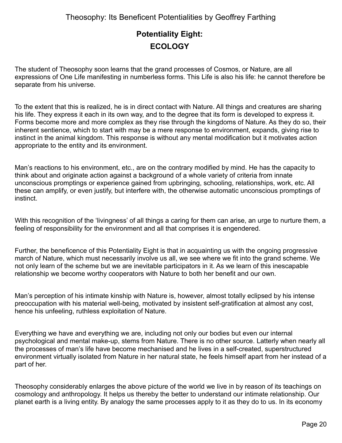## <span id="page-19-0"></span>**Potentiality Eight: ECOLOGY**

The student of Theosophy soon learns that the grand processes of Cosmos, or Nature, are all expressions of One Life manifesting in numberless forms. This Life is also his life: he cannot therefore be separate from his universe.

To the extent that this is realized, he is in direct contact with Nature. All things and creatures are sharing his life. They express it each in its own way, and to the degree that its form is developed to express it. Forms become more and more complex as they rise through the kingdoms of Nature. As they do so, their inherent sentience, which to start with may be a mere response to environment, expands, giving rise to instinct in the animal kingdom. This response is without any mental modification but it motivates action appropriate to the entity and its environment.

Man's reactions to his environment, etc., are on the contrary modified by mind. He has the capacity to think about and originate action against a background of a whole variety of criteria from innate unconscious promptings or experience gained from upbringing, schooling, relationships, work, etc. All these can amplify, or even justify, but interfere with, the otherwise automatic unconscious promptings of instinct.

With this recognition of the 'livingness' of all things a caring for them can arise, an urge to nurture them, a feeling of responsibility for the environment and all that comprises it is engendered.

Further, the beneficence of this Potentiality Eight is that in acquainting us with the ongoing progressive march of Nature, which must necessarily involve us all, we see where we fit into the grand scheme. We not only learn of the scheme but we are inevitable participators in it. As we learn of this inescapable relationship we become worthy cooperators with Nature to both her benefit and our own.

Man's perception of his intimate kinship with Nature is, however, almost totally eclipsed by his intense preoccupation with his material well-being, motivated by insistent self-gratification at almost any cost, hence his unfeeling, ruthless exploitation of Nature.

Everything we have and everything we are, including not only our bodies but even our internal psychological and mental make-up, stems from Nature. There is no other source. Latterly when nearly all the processes of man's life have become mechanised and he lives in a self-created, superstructured environment virtually isolated from Nature in her natural state, he feels himself apart from her instead of a part of her.

Theosophy considerably enlarges the above picture of the world we live in by reason of its teachings on cosmology and anthropology. It helps us thereby the better to understand our intimate relationship. Our planet earth is a living entity. By analogy the same processes apply to it as they do to us. In its economy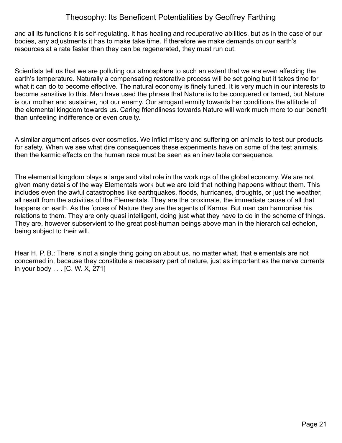and all its functions it is self-regulating. It has healing and recuperative abilities, but as in the case of our bodies, any adjustments it has to make take time. If therefore we make demands on our earth's resources at a rate faster than they can be regenerated, they must run out.

Scientists tell us that we are polluting our atmosphere to such an extent that we are even affecting the earth's temperature. Naturally a compensating restorative process will be set going but it takes time for what it can do to become effective. The natural economy is finely tuned. It is very much in our interests to become sensitive to this. Men have used the phrase that Nature is to be conquered or tamed, but Nature is our mother and sustainer, not our enemy. Our arrogant enmity towards her conditions the attitude of the elemental kingdom towards us. Caring friendliness towards Nature will work much more to our benefit than unfeeling indifference or even cruelty.

A similar argument arises over cosmetics. We inflict misery and suffering on animals to test our products for safety. When we see what dire consequences these experiments have on some of the test animals, then the karmic effects on the human race must be seen as an inevitable consequence.

The elemental kingdom plays a large and vital role in the workings of the global economy. We are not given many details of the way Elementals work but we are told that nothing happens without them. This includes even the awful catastrophes like earthquakes, floods, hurricanes, droughts, or just the weather, all result from the activities of the Elementals. They are the proximate, the immediate cause of all that happens on earth. As the forces of Nature they are the agents of Karma. But man can harmonise his relations to them. They are only quasi intelligent, doing just what they have to do in the scheme of things. They are, however subservient to the great post-human beings above man in the hierarchical echelon, being subject to their will.

Hear H. P. B.: There is not a single thing going on about us, no matter what, that elementals are not concerned in, because they constitute a necessary part of nature, just as important as the nerve currents in your body . . . [C. W. X, 271]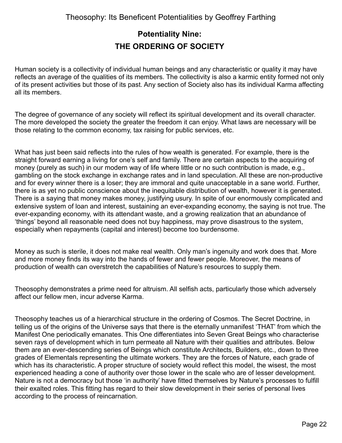### <span id="page-21-0"></span>**Potentiality Nine: THE ORDERING OF SOCIETY**

Human society is a collectivity of individual human beings and any characteristic or quality it may have reflects an average of the qualities of its members. The collectivity is also a karmic entity formed not only of its present activities but those of its past. Any section of Society also has its individual Karma affecting all its members.

The degree of governance of any society will reflect its spiritual development and its overall character. The more developed the society the greater the freedom it can enjoy. What laws are necessary will be those relating to the common economy, tax raising for public services, etc.

What has just been said reflects into the rules of how wealth is generated. For example, there is the straight forward earning a living for one's self and family. There are certain aspects to the acquiring of money (purely as such) in our modern way of life where little or no such contribution is made, e.g., gambling on the stock exchange in exchange rates and in land speculation. All these are non-productive and for every winner there is a loser; they are immoral and quite unacceptable in a sane world. Further, there is as yet no public conscience about the inequitable distribution of wealth, however it is generated. There is a saying that money makes money, justifying usury. In spite of our enormously complicated and extensive system of loan and interest, sustaining an ever-expanding economy, the saying is not true. The ever-expanding economy, with its attendant waste, and a growing realization that an abundance of 'things' beyond all reasonable need does not buy happiness, may prove disastrous to the system, especially when repayments (capital and interest) become too burdensome.

Money as such is sterile, it does not make real wealth. Only man's ingenuity and work does that. More and more money finds its way into the hands of fewer and fewer people. Moreover, the means of production of wealth can overstretch the capabilities of Nature's resources to supply them.

Theosophy demonstrates a prime need for altruism. All selfish acts, particularly those which adversely affect our fellow men, incur adverse Karma.

Theosophy teaches us of a hierarchical structure in the ordering of Cosmos. The Secret Doctrine, in telling us of the origins of the Universe says that there is the eternally unmanifest 'THAT' from which the Manifest One periodically emanates. This One differentiates into Seven Great Beings who characterise seven rays of development which in turn permeate all Nature with their qualities and attributes. Below them are an ever-descending series of Beings which constitute Architects, Builders, etc., down to three grades of Elementals representing the ultimate workers. They are the forces of Nature, each grade of which has its characteristic. A proper structure of society would reflect this model, the wisest, the most experienced heading a cone of authority over those lower in the scale who are of lesser development. Nature is not a democracy but those 'in authority' have fitted themselves by Nature's processes to fulfill their exalted roles. This fitting has regard to their slow development in their series of personal lives according to the process of reincarnation.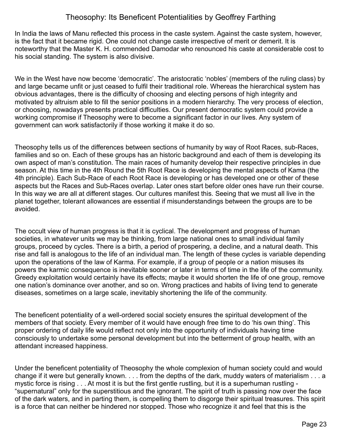In India the laws of Manu reflected this process in the caste system. Against the caste system, however, is the fact that it became rigid. One could not change caste irrespective of merit or demerit. It is noteworthy that the Master K. H. commended Damodar who renounced his caste at considerable cost to his social standing. The system is also divisive.

We in the West have now become 'democratic'. The aristocratic 'nobles' (members of the ruling class) by and large became unfit or just ceased to fulfil their traditional role. Whereas the hierarchical system has obvious advantages, there is the difficulty of choosing and electing persons of high integrity and motivated by altruism able to fill the senior positions in a modern hierarchy. The very process of election, or choosing, nowadays presents practical difficulties. Our present democratic system could provide a working compromise if Theosophy were to become a significant factor in our lives. Any system of government can work satisfactorily if those working it make it do so.

Theosophy tells us of the differences between sections of humanity by way of Root Races, sub-Races, families and so on. Each of these groups has an historic background and each of them is developing its own aspect of man's constitution. The main races of humanity develop their respective principles in due season. At this time in the 4th Round the 5th Root Race is developing the mental aspects of Kama (the 4th principle). Each Sub-Race of each Root Race is developing or has developed one or other of these aspects but the Races and Sub-Races overlap. Later ones start before older ones have run their course. In this way we are all at different stages. Our cultures manifest this. Seeing that we must all live in the planet together, tolerant allowances are essential if misunderstandings between the groups are to be avoided.

The occult view of human progress is that it is cyclical. The development and progress of human societies, in whatever units we may be thinking, from large national ones to small individual family groups, proceed by cycles. There is a birth, a period of prospering, a decline, and a natural death. This rise and fall is analogous to the life of an individual man. The length of these cycles is variable depending upon the operations of the law of Karma. For example, if a group of people or a nation misuses its powers the karmic consequence is inevitable sooner or later in terms of time in the life of the community. Greedy exploitation would certainly have its effects; maybe it would shorten the life of one group, remove one nation's dominance over another, and so on. Wrong practices and habits of living tend to generate diseases, sometimes on a large scale, inevitably shortening the life of the community.

The beneficent potentiality of a well-ordered social society ensures the spiritual development of the members of that society. Every member of it would have enough free time to do 'his own thing'. This proper ordering of daily life would reflect not only into the opportunity of individuals having time consciously to undertake some personal development but into the betterment of group health, with an attendant increased happiness.

Under the beneficent potentiality of Theosophy the whole complexion of human society could and would change if it were but generally known. . . . from the depths of the dark, muddy waters of materialism . . . a mystic force is rising . . . At most it is but the first gentle rustling, but it is a superhuman rustling - "supernatural" only for the superstitious and the ignorant. The spirit of truth is passing now over the face of the dark waters, and in parting them, is compelling them to disgorge their spiritual treasures. This spirit is a force that can neither be hindered nor stopped. Those who recognize it and feel that this is the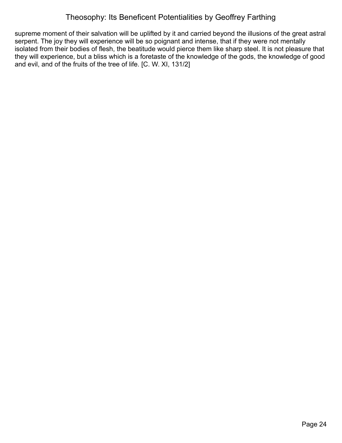supreme moment of their salvation will be uplifted by it and carried beyond the illusions of the great astral serpent. The joy they will experience will be so poignant and intense, that if they were not mentally isolated from their bodies of flesh, the beatitude would pierce them like sharp steel. It is not pleasure that they will experience, but a bliss which is a foretaste of the knowledge of the gods, the knowledge of good and evil, and of the fruits of the tree of life. [C. W. XI, 131/2]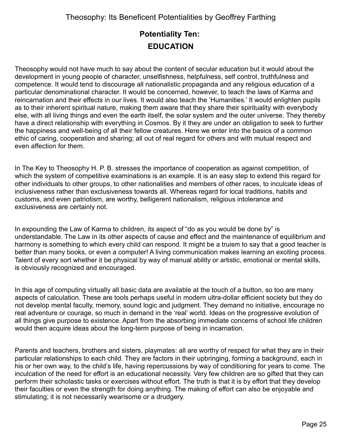## <span id="page-24-0"></span>**Potentiality Ten: EDUCATION**

Theosophy would not have much to say about the content of secular education but it would about the development in young people of character, unselfishness, helpfulness, self control, truthfulness and competence. It would tend to discourage all nationalistic propaganda and any religious education of a particular denominational character. It would be concerned, however, to teach the laws of Karma and reincarnation and their effects in our lives. It would also teach the 'Humanities.' It would enlighten pupils as to their inherent spiritual nature, making them aware that they share their spirituality with everybody else, with all living things and even the earth itself, the solar system and the outer universe. They thereby have a direct relationship with everything in Cosmos. By it they are under an obligation to seek to further the happiness and well-being of all their fellow creatures. Here we enter into the basics of a common ethic of caring, cooperation and sharing; all out of real regard for others and with mutual respect and even affection for them.

In The Key to Theosophy H. P. B. stresses the importance of cooperation as against competition, of which the system of competitive examinations is an example. It is an easy step to extend this regard for other individuals to other groups, to other nationalities and members of other races, to inculcate ideas of inclusiveness rather than exclusiveness towards all. Whereas regard for local traditions, habits and customs, and even patriotism, are worthy, belligerent nationalism, religious intolerance and exclusiveness are certainly not.

In expounding the Law of Karma to children, its aspect of "do as you would be done by" is understandable. The Law in its other aspects of cause and effect and the maintenance of equilibrium and harmony is something to which every child can respond. It might be a truism to say that a good teacher is better than many books, or even a computer! A living communication makes learning an exciting process. Talent of every sort whether it be physical by way of manual ability or artistic, emotional or mental skills, is obviously recognized and encouraged.

In this age of computing virtually all basic data are available at the touch of a button, so too are many aspects of calculation. These are tools perhaps useful in modern ultra-dollar efficient society but they do not develop mental faculty, memory, sound logic and judgment. They demand no initiative, encourage no real adventure or courage, so much in demand in the 'real' world. Ideas on the progressive evolution of all things give purpose to existence. Apart from the absorbing immediate concerns of school life children would then acquire ideas about the long-term purpose of being in incarnation.

Parents and teachers, brothers and sisters, playmates: all are worthy of respect for what they are in their particular relationships to each child. They are factors in their upbringing, forming a background, each in his or her own way, to the child's life, having repercussions by way of conditioning for years to come. The inculcation of the need for effort is an educational necessity. Very few children are so gifted that they can perform their scholastic tasks or exercises without effort. The truth is that it is by effort that they develop their faculties or even the strength for doing anything. The making of effort can also be enjoyable and stimulating; it is not necessarily wearisome or a drudgery.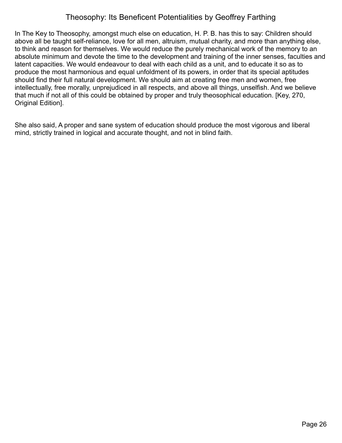In The Key to Theosophy, amongst much else on education, H. P. B. has this to say: Children should above all be taught self-reliance, love for all men, altruism, mutual charity, and more than anything else, to think and reason for themselves. We would reduce the purely mechanical work of the memory to an absolute minimum and devote the time to the development and training of the inner senses, faculties and latent capacities. We would endeavour to deal with each child as a unit, and to educate it so as to produce the most harmonious and equal unfoldment of its powers, in order that its special aptitudes should find their full natural development. We should aim at creating free men and women, free intellectually, free morally, unprejudiced in all respects, and above all things, unselfish. And we believe that much if not all of this could be obtained by proper and truly theosophical education. [Key, 270, Original Edition].

She also said, A proper and sane system of education should produce the most vigorous and liberal mind, strictly trained in logical and accurate thought, and not in blind faith.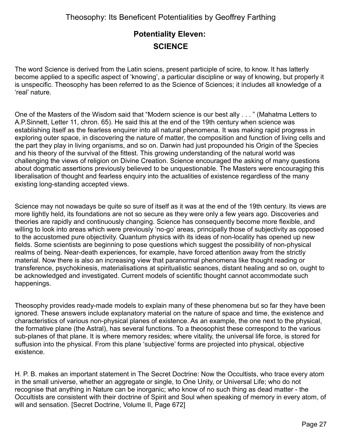## <span id="page-26-0"></span>**Potentiality Eleven: SCIENCE**

The word Science is derived from the Latin sciens, present participle of scire, to know. It has latterly become applied to a specific aspect of 'knowing', a particular discipline or way of knowing, but properly it is unspecific. Theosophy has been referred to as the Science of Sciences; it includes all knowledge of a 'real' nature.

One of the Masters of the Wisdom said that "Modern science is our best ally . . . " (Mahatma Letters to A.P.Sinnett, Letter 11, chron. 65). He said this at the end of the 19th century when science was establishing itself as the fearless enquirer into all natural phenomena. It was making rapid progress in exploring outer space, in discovering the nature of matter, the composition and function of living cells and the part they play in living organisms, and so on. Darwin had just propounded his Origin of the Species and his theory of the survival of the fittest. This growing understanding of the natural world was challenging the views of religion on Divine Creation. Science encouraged the asking of many questions about dogmatic assertions previously believed to be unquestionable. The Masters were encouraging this liberalisation of thought and fearless enquiry into the actualities of existence regardless of the many existing long-standing accepted views.

Science may not nowadays be quite so sure of itself as it was at the end of the 19th century. Its views are more lightly held, its foundations are not so secure as they were only a few years ago. Discoveries and theories are rapidly and continuously changing. Science has consequently become more flexible, and willing to look into areas which were previously 'no-go' areas, principally those of subjectivity as opposed to the accustomed pure objectivity. Quantum physics with its ideas of non-locality has opened up new fields. Some scientists are beginning to pose questions which suggest the possibility of non-physical realms of being. Near-death experiences, for example, have forced attention away from the strictly material. Now there is also an increasing view that paranormal phenomena like thought reading or transference, psychokinesis, materialisations at spiritualistic seances, distant healing and so on, ought to be acknowledged and investigated. Current models of scientific thought cannot accommodate such happenings.

Theosophy provides ready-made models to explain many of these phenomena but so far they have been ignored. These answers include explanatory material on the nature of space and time, the existence and characteristics of various non-physical planes of existence. As an example, the one next to the physical, the formative plane (the Astral), has several functions. To a theosophist these correspond to the various sub-planes of that plane. It is where memory resides; where vitality, the universal life force, is stored for suffusion into the physical. From this plane 'subjective' forms are projected into physical, objective existence.

H. P. B. makes an important statement in The Secret Doctrine: Now the Occultists, who trace every atom in the small universe, whether an aggregate or single, to One Unity, or Universal Life; who do not recognise that anything in Nature can be inorganic; who know of no such thing as dead matter - the Occultists are consistent with their doctrine of Spirit and Soul when speaking of memory in every atom, of will and sensation. [Secret Doctrine, Volume II, Page 672]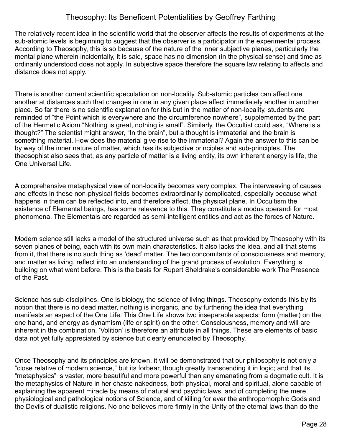The relatively recent idea in the scientific world that the observer affects the results of experiments at the sub-atomic levels is beginning to suggest that the observer is a participator in the experimental process. According to Theosophy, this is so because of the nature of the inner subjective planes, particularly the mental plane wherein incidentally, it is said, space has no dimension (in the physical sense) and time as ordinarily understood does not apply. In subjective space therefore the square law relating to affects and distance does not apply.

There is another current scientific speculation on non-locality. Sub-atomic particles can affect one another at distances such that changes in one in any given place affect immediately another in another place. So far there is no scientific explanation for this but in the matter of non-locality, students are reminded of "the Point which is everywhere and the circumference nowhere", supplemented by the part of the Hermetic Axiom "Nothing is great, nothing is small". Similarly, the Occultist could ask, "Where is a thought?" The scientist might answer, "In the brain", but a thought is immaterial and the brain is something material. How does the material give rise to the immaterial? Again the answer to this can be by way of the inner nature of matter, which has its subjective principles and sub-principles. The theosophist also sees that, as any particle of matter is a living entity, its own inherent energy is life, the One Universal Life.

A comprehensive metaphysical view of non-locality becomes very complex. The interweaving of causes and effects in these non-physical fields becomes extraordinarily complicated, especially because what happens in them can be reflected into, and therefore affect, the physical plane. In Occultism the existence of Elemental beings, has some relevance to this. They constitute a modus operandi for most phenomena. The Elementals are regarded as semi-intelligent entities and act as the forces of Nature.

Modern science still lacks a model of the structured universe such as that provided by Theosophy with its seven planes of being, each with its own main characteristics. It also lacks the idea, and all that stems from it, that there is no such thing as 'dead' matter. The two concomitants of consciousness and memory, and matter as living, reflect into an understanding of the grand process of evolution. Everything is building on what went before. This is the basis for Rupert Sheldrake's considerable work The Presence of the Past.

Science has sub-disciplines. One is biology, the science of living things. Theosophy extends this by its notion that there is no dead matter, nothing is inorganic, and by furthering the idea that everything manifests an aspect of the One Life. This One Life shows two inseparable aspects: form (matter) on the one hand, and energy as dynamism (life or spirit) on the other. Consciousness, memory and will are inherent in the combination. 'Volition' is therefore an attribute in all things. These are elements of basic data not yet fully appreciated by science but clearly enunciated by Theosophy.

Once Theosophy and its principles are known, it will be demonstrated that our philosophy is not only a "close relative of modern science," but its forbear, though greatly transcending it in logic; and that its "metaphysics" is vaster, more beautiful and more powerful than any emanating from a dogmatic cult. It is the metaphysics of Nature in her chaste nakedness, both physical, moral and spiritual, alone capable of explaining the apparent miracle by means of natural and psychic laws, and of completing the mere physiological and pathological notions of Science, and of killing for ever the anthropomorphic Gods and the Devils of dualistic religions. No one believes more firmly in the Unity of the eternal laws than do the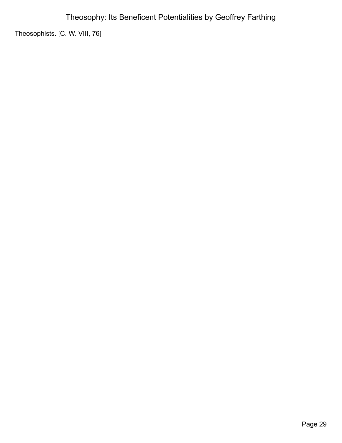Theosophists. [C. W. VIII, 76]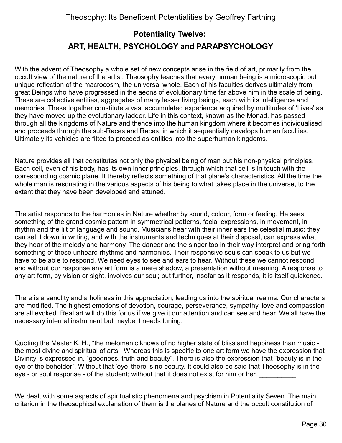## <span id="page-29-0"></span>**Potentiality Twelve: ART, HEALTH, PSYCHOLOGY and PARAPSYCHOLOGY**

With the advent of Theosophy a whole set of new concepts arise in the field of art, primarily from the occult view of the nature of the artist. Theosophy teaches that every human being is a microscopic but unique reflection of the macrocosm, the universal whole. Each of his faculties derives ultimately from great Beings who have progressed in the aeons of evolutionary time far above him in the scale of being. These are collective entities, aggregates of many lesser living beings, each with its intelligence and memories. These together constitute a vast accumulated experience acquired by multitudes of 'Lives' as they have moved up the evolutionary ladder. Life in this context, known as the Monad, has passed through all the kingdoms of Nature and thence into the human kingdom where it becomes individualised and proceeds through the sub-Races and Races, in which it sequentially develops human faculties. Ultimately its vehicles are fitted to proceed as entities into the superhuman kingdoms.

Nature provides all that constitutes not only the physical being of man but his non-physical principles. Each cell, even of his body, has its own inner principles, through which that cell is in touch with the corresponding cosmic plane. It thereby reflects something of that plane's characteristics. All the time the whole man is resonating in the various aspects of his being to what takes place in the universe, to the extent that they have been developed and attuned.

The artist responds to the harmonies in Nature whether by sound, colour, form or feeling. He sees something of the grand cosmic pattern in symmetrical patterns, facial expressions, in movement, in rhythm and the lilt of language and sound. Musicians hear with their inner ears the celestial music; they can set it down in writing, and with the instruments and techniques at their disposal, can express what they hear of the melody and harmony. The dancer and the singer too in their way interpret and bring forth something of these unheard rhythms and harmonies. Their responsive souls can speak to us but we have to be able to respond. We need eyes to see and ears to hear. Without these we cannot respond and without our response any art form is a mere shadow, a presentation without meaning. A response to any art form, by vision or sight, involves our soul; but further, insofar as it responds, it is itself quickened.

There is a sanctity and a holiness in this appreciation, leading us into the spiritual realms. Our characters are modified. The highest emotions of devotion, courage, perseverance, sympathy, love and compassion are all evoked. Real art will do this for us if we give it our attention and can see and hear. We all have the necessary internal instrument but maybe it needs tuning.

Quoting the Master K. H., "the melomanic knows of no higher state of bliss and happiness than music the most divine and spiritual of arts . Whereas this is specific to one art form we have the expression that Divinity is expressed in, "goodness, truth and beauty". There is also the expression that "beauty is in the eye of the beholder". Without that 'eye' there is no beauty. It could also be said that Theosophy is in the eye - or soul response - of the student; without that it does not exist for him or her.

We dealt with some aspects of spiritualistic phenomena and psychism in Potentiality Seven. The main criterion in the theosophical explanation of them is the planes of Nature and the occult constitution of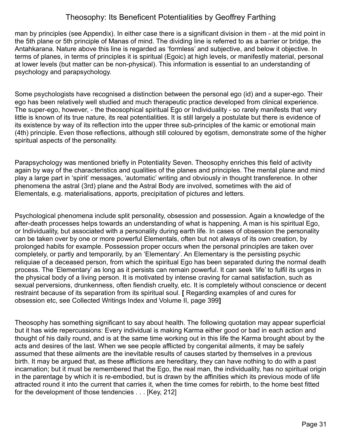man by principles (see Appendix). In either case there is a significant division in them - at the mid point in the 5th plane or 5th principle of Manas of mind. The dividing line is referred to as a barrier or bridge, the Antahkarana. Nature above this line is regarded as 'formless' and subjective, and below it objective. In terms of planes, in terms of principles it is spiritual (Egoic) at high levels, or manifestly material, personal at lower levels (but matter can be non-physical). This information is essential to an understanding of psychology and parapsychology.

Some psychologists have recognised a distinction between the personal ego (id) and a super-ego. Their ego has been relatively well studied and much therapeutic practice developed from clinical experience. The super-ego, however, - the theosophical spiritual Ego or Individuality - so rarely manifests that very little is known of its true nature, its real potentialities. It is still largely a postulate but there is evidence of its existence by way of its reflection into the upper three sub-principles of the kamic or emotional main (4th) principle. Even those reflections, although still coloured by egotism, demonstrate some of the higher spiritual aspects of the personality.

Parapsychology was mentioned briefly in Potentiality Seven. Theosophy enriches this field of activity again by way of the characteristics and qualities of the planes and principles. The mental plane and mind play a large part in 'spirit' messages, 'automatic' writing and obviously in thought transference. In other phenomena the astral (3rd) plane and the Astral Body are involved, sometimes with the aid of Elementals, e.g. materialisations, apports, precipitation of pictures and letters.

Psychological phenomena include split personality, obsession and possession. Again a knowledge of the after-death processes helps towards an understanding of what is happening. A man is his spiritual Ego, or Individuality, but associated with a personality during earth life. In cases of obsession the personality can be taken over by one or more powerful Elementals, often but not always of its own creation, by prolonged habits for example. Possession proper occurs when the personal principles are taken over completely, or partly and temporarily, by an 'Elementary'. An Elementary is the persisting psychic reliquiae of a deceased person, from which the spiritual Ego has been separated during the normal death process. The 'Elementary' as long as it persists can remain powerful. It can seek 'life' to fulfil its urges in the physical body of a living person. It is motivated by intense craving for carnal satisfaction, such as sexual perversions, drunkenness, often fiendish cruelty, etc. It is completely without conscience or decent restraint because of its separation from its spiritual soul. **[** Regarding examples of and cures for obsession etc, see Collected Writings Index and Volume II, page 399**]**

Theosophy has something significant to say about health. The following quotation may appear superficial but it has wide repercussions: Every individual is making Karma either good or bad in each action and thought of his daily round, and is at the same time working out in this life the Karma brought about by the acts and desires of the last. When we see people afflicted by congenital ailments, it may be safely assumed that these ailments are the inevitable results of causes started by themselves in a previous birth. It may be argued that, as these afflictions are hereditary, they can have nothing to do with a past incarnation; but it must be remembered that the Ego, the real man, the individuality, has no spiritual origin in the parentage by which it is re-embodied, but is drawn by the affinities which its previous mode of life attracted round it into the current that carries it, when the time comes for rebirth, to the home best fitted for the development of those tendencies . . . [Key, 212]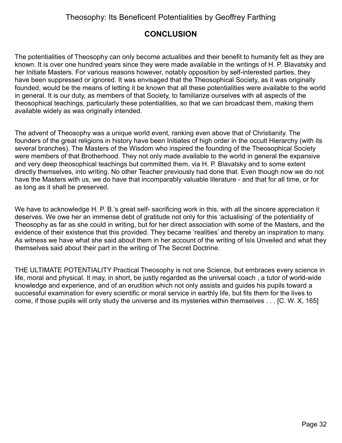### **CONCLUSION**

The potentialities of Theosophy can only become actualities and their benefit to humanity felt as they are known. It is over one hundred years since they were made available in the writings of H. P. Blavatsky and her Initiate Masters. For various reasons however, notably opposition by self-interested parties, they have been suppressed or ignored. It was envisaged that the Theosophical Society, as it was originally founded, would be the means of letting it be known that all these potentialities were available to the world in general. It is our duty, as members of that Society, to familiarize ourselves with all aspects of the theosophical teachings, particularly these potentialities, so that we can broadcast them, making them available widely as was originally intended.

The advent of Theosophy was a unique world event, ranking even above that of Christianity. The founders of the great religions in history have been Initiates of high order in the occult Hierarchy (with its several branches). The Masters of the Wisdom who inspired the founding of the Theosophical Society were members of that Brotherhood. They not only made available to the world in general the expansive and very deep theosophical teachings but committed them, via H. P. Blavatsky and to some extent directly themselves, into writing. No other Teacher previously had done that. Even though now we do not have the Masters with us, we do have that incomparably valuable literature - and that for all time, or for as long as it shall be preserved.

We have to acknowledge H. P. B.'s great self- sacrificing work in this, with all the sincere appreciation it deserves. We owe her an immense debt of gratitude not only for this 'actualising' of the potentiality of Theosophy as far as she could in writing, but for her direct association with some of the Masters, and the evidence of their existence that this provided. They became 'realities' and thereby an inspiration to many. As witness we have what she said about them in her account of the writing of Isis Unveiled and what they themselves said about their part in the writing of The Secret Doctrine.

THE ULTIMATE POTENTIALITY Practical Theosophy is not one Science, but embraces every science in life, moral and physical. It may, in short, be justly regarded as the universal coach , a tutor of world-wide knowledge and experience, and of an erudition which not only assists and guides his pupils toward a successful examination for every scientific or moral service in earthly life, but fits them for the lives to come, if those pupils will only study the universe and its mysteries within themselves . . . [C. W. X, 165]